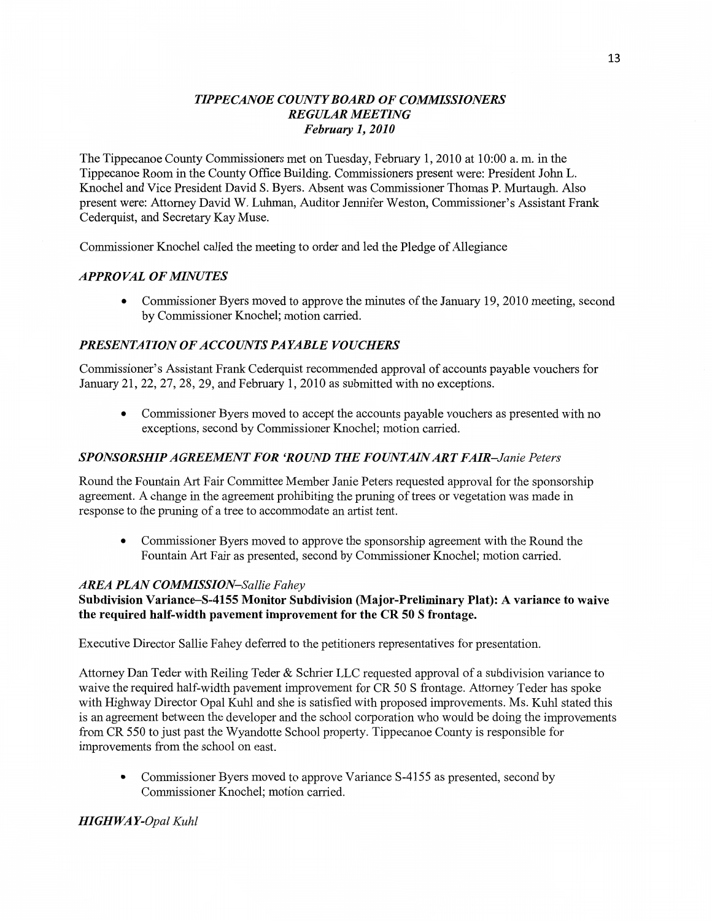### *TIPPE CANOE COUNTY BOARD* OF *COMMISSIONERS REGULAR MEETING Februaty* 1, *2010*

The Tippecanoe County Commissioners met on Tuesday, February 1, 2010 at **10:00** a. m. in the Tippecanoe Room in the County Office Building. Commissioners present were: President John L. Knochel and Vice President **David** S. Byers. Absent was Commissioner Thomas P. Murtaugh. Also present were: Attorney David W. **Luhman,** Auditor Jennifer Weston, Commissioner's Assistant **Frank**  Cederquist, and Secretary Kay Muse.

Commissioner Knochel called the meeting to order and led the Pledge of Allegiance

#### *APPROVAL* OF *MINUTES*

**0** Commissioner Byers moved to approve the minutes of the January 19, 2010 meeting, **second**  by Commissioner Knochel; motion carried.

#### *PRESENTATION* OF *ACCOUNTS PAYABLE VOUCHERS*

Commissioner's Assistant Frank Cederquist recommended approval of accounts payable vouchers for January 21, 22, 27, 28, 29, and February 1, 2010 as submitted with no exceptions.

**0** Commissioner Byers **moved** to accept the accounts payable vouchers as presented with no **exceptions,** second by **Commissioner** Knochel; motion cam'ed.

#### *SPONSORSHIPAGREEMENT* FOR *'ROUND* THE *FOUNTAIN* ART *FAIR-Janie Peters*

Round the Fountain Art Fair Committee Member Janie Peters requested approval for the sponsorship agreement. **A** change in the agreement prohibiting the pruning of trees or vegetation was made in response to the pruning of a tree to accommodate an artist **tent.** 

**0** Commissioner Byers moved to approve the **sponsorship** agreement with the Round the **Fountain** Art Fair as presented, second by Commissioner Knochel; motion carried.

#### *AREA PLAN COMMISSION—Sallie Fahey*

#### Subdivision **Variance—84155 Monitor Subdivision (Major-Preliminary Plat): A variance** to **waive**  the **required half-width pavement improvement** for the CR 50 **S frontage.**

Executive Director Sallie Fahey deferred to the petitioners representatives for presentation.

Attorney Dan Teder with Reiling Teder & Schrier LLC requested approval of a subdivision variance to waive the required half-width pavement improvement for CR 50 **S** fiontage. Attorney Teder has spoke with Highway Director Opal Kuhl and she is satisfied with proposed improvements. Ms. Kuhl stated **this**  is an agreement **between** the developer and the school corporation who would be doing the improvements from CR 550 to just past the Wyandotte School property. Tippecanoe County is responsible for improvements from the school on east.

**0** Commissioner Byers moved to approve Variance S-4155 as presented, second by Commissioner Knochel; motion carried.

#### *HIGHWA Y-Opal Kuhl*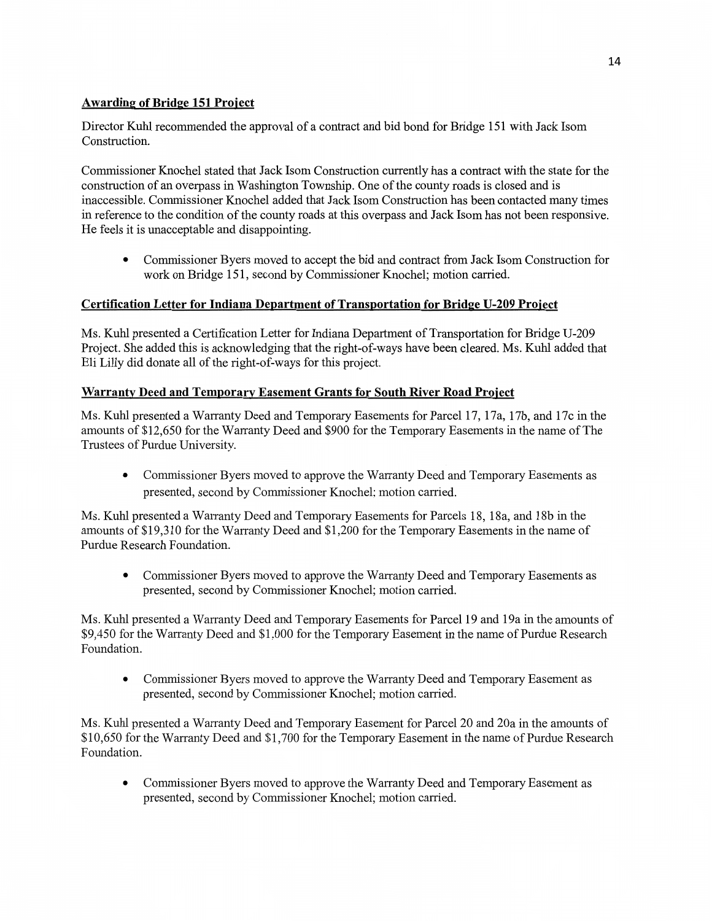# **Awarding** of **Bridge** 151 **Project**

Director Kuhl recommended the approval of a **contract** and bid bond for Bridge 151 with Jack Isom Construction.

Commissioner Knochel stated **that** Jack Isom Construction currently has a contract with the state for the construction of an overpass in Washington **Township.** One of the county roads is closed and is inaccessible. Commissioner Knochel added **that** Jack **Isom Construction** has been contacted many **times**  in reference to the condition of the county roads at this overpass and Jack **Isom** has not been responsive. He feels it is unacceptable and disappointing.

**0** Commissioner Byers moved to accept the bid and contract **from** Jack **Isom** Construction for work on Bridge 151, second by Commissioner Knochel; **motion** carried.

# **Certification Letter** for **Indiana Department** of **Transnortation** for **Bridge U-209 Project**

Ms. Kuhl presented a Certification Letter for Indiana Department of Transportation for Bridge U-209 Project. She added this is acknowledging that the right-of—ways have been cleared. Ms. Kuhl added that Eli Lilly did **donate** all of the right-of-ways for this project.

# **Warranty Deed and Temporary Easement Grants for South River Road Project**

Ms. Kuhl presented a Warranty Deed and Temporary Easements for Parcel 17, 17a, 17b, and 17c in the amounts of \$12,650 for the Warranty Deed and \$900 for the Temporary Easements in the name of The Trustees of Purdue University.

**0** Commissioner Byers moved to approve the Warranty Deed and Temporary Easements as presented, second by Commissioner Knochel; motion carried.

Ms. **Kuhl** presented a Warranty Deed and Temporary Easements for Parcels 18, 18a, and 18b in the **amounts** of \$19,310 for the Warranty Deed and \$1,200 for the Temporary Easements in the name of Purdue Research Foundation.

**0** Commissioner Byers moved to approve the Warranty Deed and Temporary Easements as presented, second by Commissioner **Knochel; motion** carried.

Ms. Kuhl presented a Warranty Deed and Temporary Easements for Parcel 19 and 19a in the amounts of \$9,450 for the Warranty Deed and \$1,000 for the Temporary Easement in the name of Purdue Research **Foundation.** 

**0** Commissioner Byers moved to approve the Warranty Deed and Temporary Easement as presented, second by Commissioner Knochel; motion carried.

Ms. Kuhl presented a Warranty Deed and Temporary Easement for Parcel 20 and 20a in the **amounts** of \$10,650 for the Warranty Deed and \$1,700 for the Temporary Easement in the name of Purdue Research Foundation.

**0** Commissioner Byers moved to approve the Warranty Deed and Temporary Easement as presented, second by Commissioner Knochel; motion carried.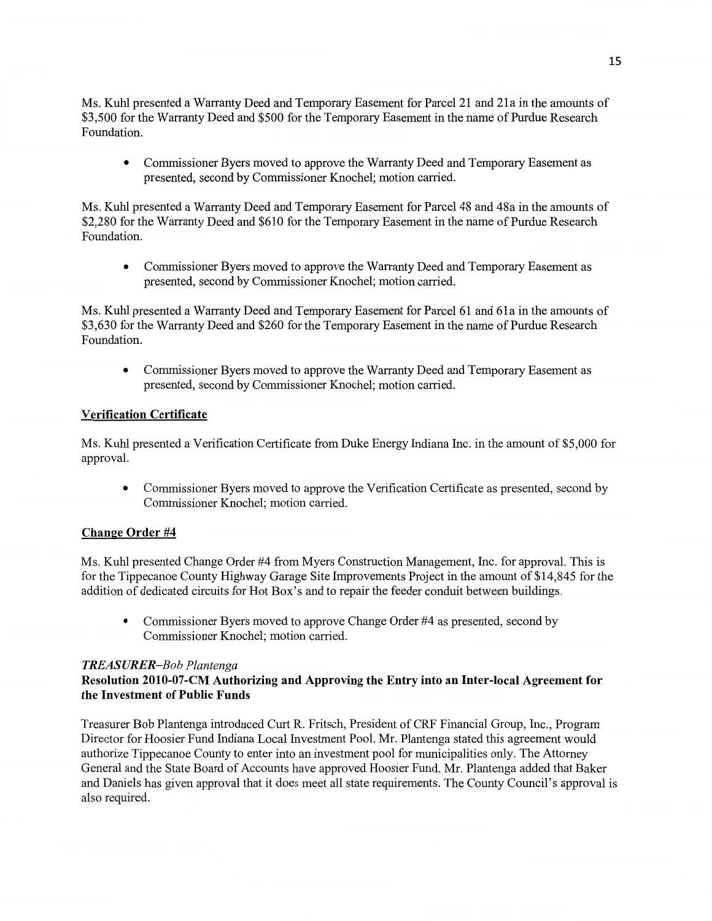Ms. Kuhl presented a Warranty Deed and Temporary Easement for Parcel 21 and 21a in the **amounts** of \$3,500 for the Warranty Deed and \$500 for the Temporary Easement in the name of Purdue Research **Foundation.** 

**0** Commissioner Byers **moved** to approve the Warranty **Deed** and Temporary **Easement** as presented, second by Commissioner **Knochel; motion** carried.

Ms. Kuhl presented **a** Warranty Deed and Temporary Easement for Parcel 48 and 48a in the amounts of \$2,280 for the Warranty Deed and \$610 for the Temporary **Easement** in the name of Purdue Research Foundation.

**0** Commissioner Byers moved to approve the Warranty Deed and Temporary Easement as presented, second by **Commissioner Knochel; motion** carried.

Ms. Kuhl presented a Warranty Deed and Temporary **Easement** for Parcel 61 and 61a in the amounts of \$3,630 for the Warranty Deed and \$260 for the Temporary Easement in the name of Purdue Research Foundation.

**0 Commissioner** Byers moved to approve the Warranty Deed and Temporary Easement as presented, second by Commissioner Knochel; **motion** can'ied.

# **Verification Certificate**

Ms. Kuhl presented a Verification Certificate from Duke Energy **Indiana Inc.** in the **amount** of \$5,000 for approval.

**0** Commissioner Byers moved to approve the Verification Certificate as presented, second by Commissioner **Knochel;** motion carried.

### **Change** Order #4

Ms. Kuhl presented Change Order #4 from Myers Construction Management, Inc. for approval. **This** is for the Tippecanoe County Highway Garage **Site** Improvements Project in the **amount** of \$14,845 for the addition of dedicated circuits for Hot Box's and to repair the feeder **conduit** between buildings.

**0** Commissioner Byers moved to approve Change Order #4 as presented, second by Commissioner **Knochel; motion** carried.

### *TREASURER—Bob Plantenga*

### **Resolution 2010-07-CM Authorizing** and **Approving** the **Entry into** an **Inter-local Agreement** for the **Investment** of **Public Funds**

Treasurer Bob Plantenga introduced Curt R. Fritsch, President of CRF **Financial** Group, Inc., Program Director for Hoosier Fund Indiana Local Investment Pool. Mr. Plantenga stated this agreement would authorize Tippecanoe County to enter into an investment pool for municipalities only. The Attorney General and the State Board of Accounts have approved Hoosier **Fund.** Mr. Plantenga added that Baker and Daniels has given approval that it does meet all state requirements. The County Council's approval is also required.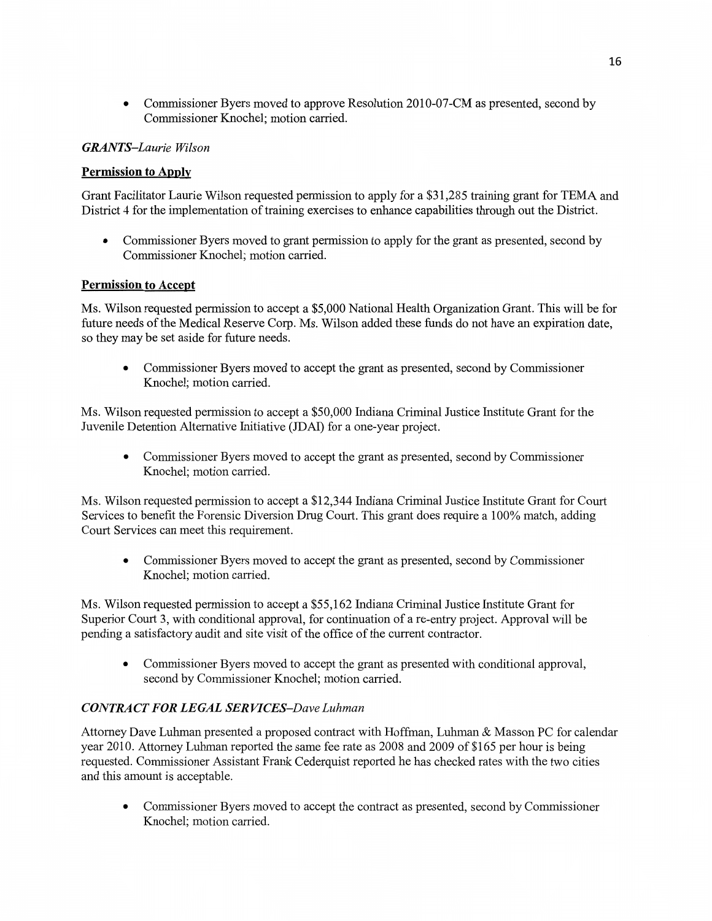**0** Commissioner Byers **moved** to approve Resolution 2010-07-CM as presented, second by **Commissioner** Knochel; **motion** carried.

### *GRANTS—Laurie Wilson*

### **Permission** to **Apply**

**Grant** Facilitator Laurie **Wilson** requested permission to apply for a \$31,285 training grant for **TEMA** and District 4 for the implementation of training exercises to **enhance** capabilities through out the District.

**0** Commissioner Byers moved to grant permission to apply for the grant as presented, **second** by Commissioner Knochel; motion carried.

### **Permission** to **Accept**

Ms. Wilson requested **permission** to accept **a** \$5,000 **National Health** Organization Grant. **This** will be for future needs of the Medical Reserve Corp. Ms. **Wilson** added these **funds** do not have an **expiration** date, so they may be set aside for future needs.

**0** Commissioner Byers moved to accept the grant as presented, second by **Commissioner**  Knochel; motion carried.

Ms. Wilson requested permission to accept **a** \$50,000 Indiana Criminal Justice Institute Grant for the Juvenile Detention Alternative **Initiative** (JDAI) for a one-year project.

**0** Commissioner Byers moved to accept the grant as presented, second by Commissioner Knochel; motion carried.

Ms. Wilson requested permission to accept **a** \$12,344 Indiana Criminal Justice Institute Grant for Court Services to benefit the Forensic Diversion Drug Court. **This** grant does require a 100% match, adding Court Services can meet this requirement.

**0** Commissioner Byers moved to accept the grant as presented, second by Commissioner Knochel; motion carried.

Ms. Wilson requested permission to accept a \$55,162 Indiana Criminal Justice Institute **Grant** for Superior Court 3, with conditional approval, for continuation of a re-entry project. Approval will be pending a satisfactory audit and site visit of the office of the current contractor.

**0 Commissioner** Byers moved to accept the grant as presented with conditional approval, second by Commissioner Knochel; motion carried.

### *CONTRA* CT FOR *LEGAL* SER *VICES—Dave Luhman*

Attorney Dave Luhman presented a proposed contract with Hoffinan, **Luhman** & Masson PC for calendar year 2010. Attorney **Luhman** reported the same fee rate as 2008 and 2009 of \$165 per hour is being requested. Commissioner Assistant Frank Cederquist reported he has checked rates with the two cities and this **amount** is acceptable.

**0** Commissioner Byers moved to accept the contract as presented, second by Commissioner Knochel; motion carried.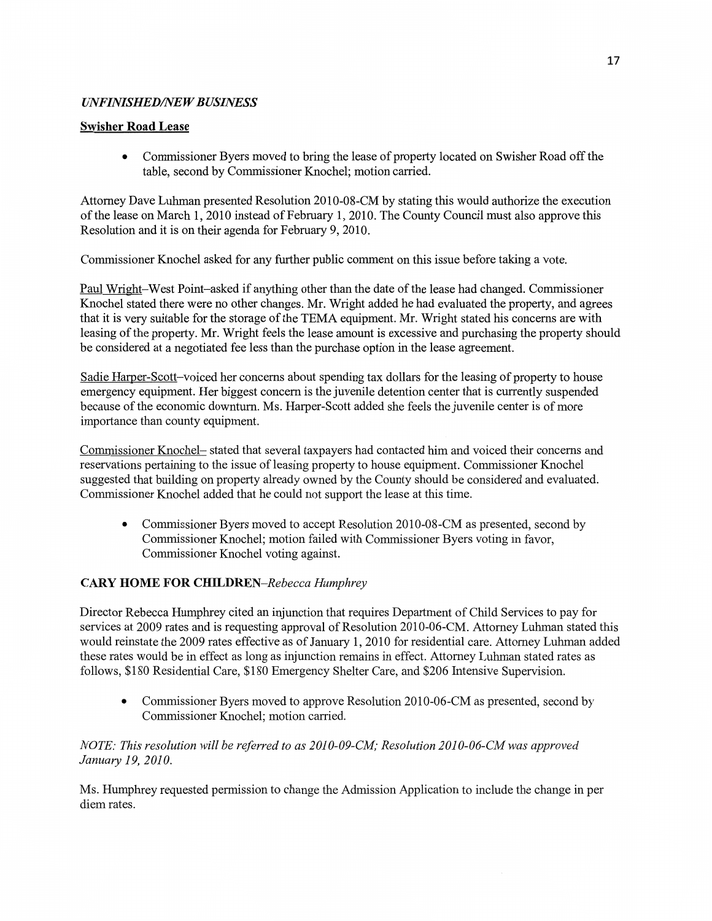# *UNFINISHED/NEW BUSINESS*

### **Swisher Road Lease**

**0** Commissioner Byers moved to bring the lease of property located on **Swisher** Road off the table, second by Commissioner Knochel; motion carried.

Attorney Dave **Luhman** presented **Resolution** 2010-08-CM by stating this would **authorize** the execution of the lease on **March** 1, 2010 instead of February 1, 2010. The County **Council must** also approve **this**  Resolution and it is on their agenda for February 9, 2010.

Commissioner Knochel asked for any further public comment on **this** issue before **taking a vote.** 

Paul Wright—West **Point—asked** if anything other **than** the date of the lease had changed. Commissioner Knochel stated there were no other changes. Mr. Wright added he had evaluated the property, and agrees that it is very suitable for the storage of the TEMA equipment. Mr. Wright stated his concerns are with leasing of the property. Mr. Wright feels the lease amount is excessive and purchasing the property **should**  be considered at **a negotiated** fee less than the purchase **option** in the lease agreement.

Sadie Harper-Scott-voiced her concerns about spending tax dollars for the leasing of property to house emergency equipment. Her biggest concern is the juvenile detention center that is currently suspended because of the economic downturn. Ms. Harper-Scott added she feels the juvenile center is of more importance **than** county equipment.

Commissioner Knochel— stated **that** several taxpayers had contacted him and voiced their concerns and reservations pertaining to the **issue** of leasing property to house equipment. Commissioner Knochel suggested that building on property already owned by the County should be considered and evaluated. Commissioner Knochel added **that** he could not support the lease at this time.

**0** Commissioner Byers moved to accept Resolution 2010-08-CM as presented, second by Commissioner Knochel; **motion** failed with Commissioner Byers voting in favor, **Commissioner** Knochel voting against.

# **CARY HOME** FOR *CHILDREN—Rebeca: Humphrey*

Director Rebecca Humphrey cited an injunction that requires Department of Child Services to pay for services at 2009 rates and is requesting approval of Resolution 2010-06-CM. Attorney Luhman stated this would reinstate the 2009 rates effactive as of January 1, 2010 for residential care. Attorney **Luhman** added **these** rates would be in effect as long as injunction remains in effect. Attorney Luhman **stated** rates as follows, \$180 Residential Care, \$180 Emergency Shelter Care, and \$206 Intensive Supervision.

**0 Commissioner** Byers moved to approve Resolution 2010-06-CM as presented, second by **Commissioner** Knochel; motion carried.

# *NOTE:* This *resolution will* be *referred* to as *2010-09-CM; Resolution* 201 *0-06-CM* was *approved January* 19, *2010.*

Ms. Humphrey requested **permission** to **change** the **Admission** Application to include the change in per diem **rates.**